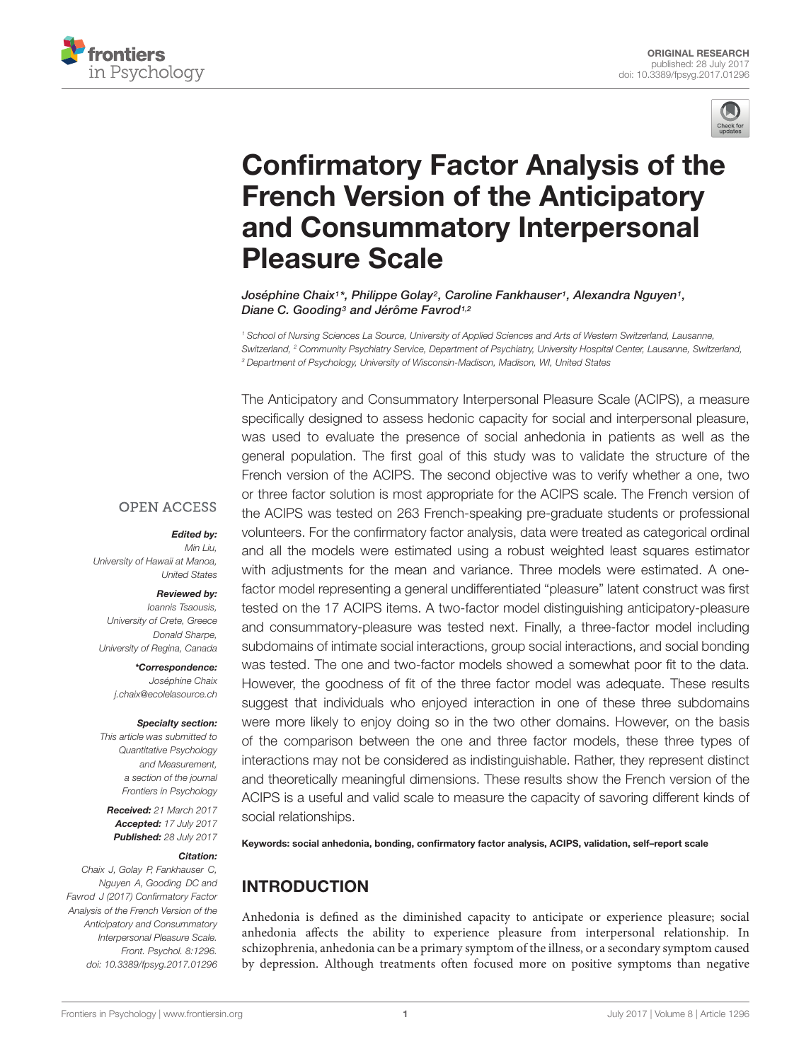



# [Confirmatory Factor Analysis of the](http://journal.frontiersin.org/article/10.3389/fpsyg.2017.01296/abstract) French Version of the Anticipatory and Consummatory Interpersonal Pleasure Scale

[Joséphine Chaix](http://loop.frontiersin.org/people/423816/overview)1\*, [Philippe Golay](http://loop.frontiersin.org/people/48411/overview)<sup>2</sup>, [Caroline Fankhauser](http://loop.frontiersin.org/people/462018/overview)1, [Alexandra Nguyen](http://loop.frontiersin.org/people/314489/overview)1, [Diane C. Gooding](http://loop.frontiersin.org/people/58526/overview)<sup>3</sup> and [Jérôme Favrod](http://loop.frontiersin.org/people/134386/overview)<sup>1,2</sup>

<sup>1</sup> School of Nursing Sciences La Source, University of Applied Sciences and Arts of Western Switzerland, Lausanne, Switzerland, <sup>2</sup> Community Psychiatry Service, Department of Psychiatry, University Hospital Center, Lausanne, Switzerland, <sup>3</sup> Department of Psychology, University of Wisconsin-Madison, Madison, WI, United States

The Anticipatory and Consummatory Interpersonal Pleasure Scale (ACIPS), a measure specifically designed to assess hedonic capacity for social and interpersonal pleasure, was used to evaluate the presence of social anhedonia in patients as well as the general population. The first goal of this study was to validate the structure of the French version of the ACIPS. The second objective was to verify whether a one, two or three factor solution is most appropriate for the ACIPS scale. The French version of the ACIPS was tested on 263 French-speaking pre-graduate students or professional volunteers. For the confirmatory factor analysis, data were treated as categorical ordinal and all the models were estimated using a robust weighted least squares estimator with adjustments for the mean and variance. Three models were estimated. A onefactor model representing a general undifferentiated "pleasure" latent construct was first tested on the 17 ACIPS items. A two-factor model distinguishing anticipatory-pleasure and consummatory-pleasure was tested next. Finally, a three-factor model including subdomains of intimate social interactions, group social interactions, and social bonding was tested. The one and two-factor models showed a somewhat poor fit to the data. However, the goodness of fit of the three factor model was adequate. These results suggest that individuals who enjoyed interaction in one of these three subdomains were more likely to enjoy doing so in the two other domains. However, on the basis of the comparison between the one and three factor models, these three types of interactions may not be considered as indistinguishable. Rather, they represent distinct and theoretically meaningful dimensions. These results show the French version of the ACIPS is a useful and valid scale to measure the capacity of savoring different kinds of social relationships.

Keywords: social anhedonia, bonding, confirmatory factor analysis, ACIPS, validation, self–report scale

# INTRODUCTION

Anhedonia is defined as the diminished capacity to anticipate or experience pleasure; social anhedonia affects the ability to experience pleasure from interpersonal relationship. In schizophrenia, anhedonia can be a primary symptom of the illness, or a secondary symptom caused by depression. Although treatments often focused more on positive symptoms than negative

## **OPEN ACCESS**

#### Edited by:

Min Liu, University of Hawaii at Manoa, United States

#### Reviewed by:

Ioannis Tsaousis, University of Crete, Greece Donald Sharpe University of Regina, Canada

> \*Correspondence: Joséphine Chaix j.chaix@ecolelasource.ch

#### Specialty section:

This article was submitted to Quantitative Psychology and Measurement, a section of the journal Frontiers in Psychology

Received: 21 March 2017 Accepted: 17 July 2017 Published: 28 July 2017

#### Citation:

Chaix J, Golay P, Fankhauser C, Nguyen A, Gooding DC and Favrod J (2017) Confirmatory Factor Analysis of the French Version of the Anticipatory and Consummatory Interpersonal Pleasure Scale. Front. Psychol. 8:1296. doi: [10.3389/fpsyg.2017.01296](https://doi.org/10.3389/fpsyg.2017.01296)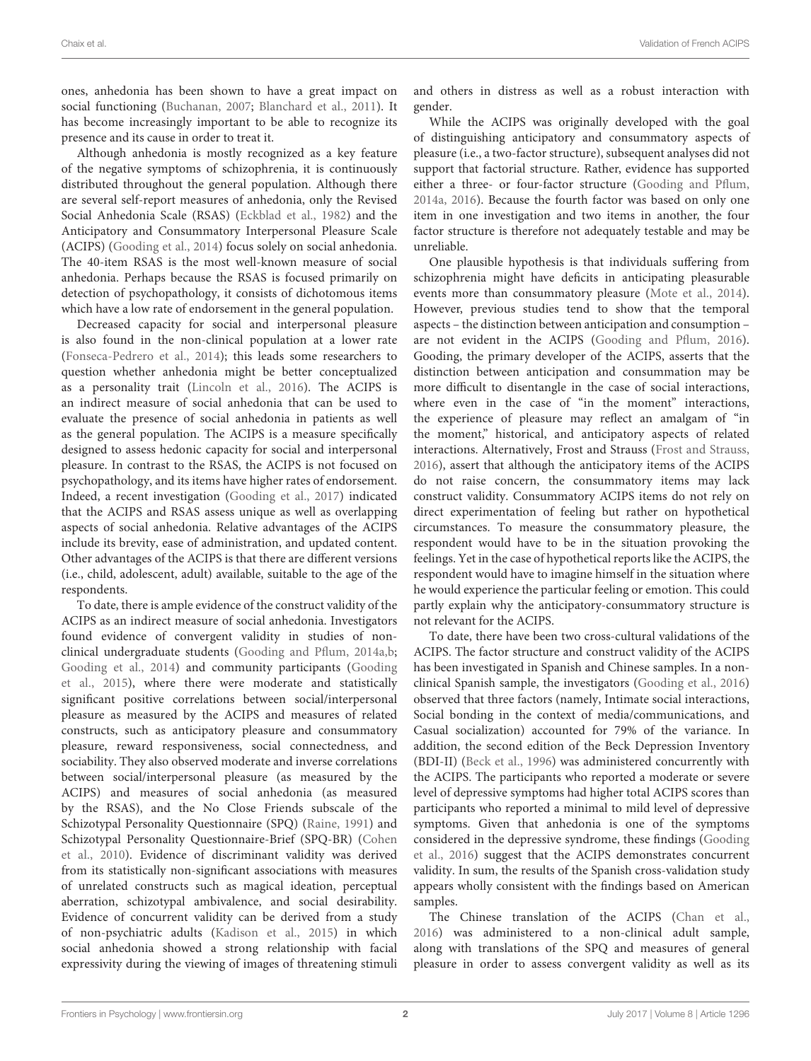ones, anhedonia has been shown to have a great impact on social functioning [\(Buchanan,](#page-5-0) [2007;](#page-5-0) [Blanchard et al.,](#page-5-1) [2011\)](#page-5-1). It has become increasingly important to be able to recognize its presence and its cause in order to treat it.

Although anhedonia is mostly recognized as a key feature of the negative symptoms of schizophrenia, it is continuously distributed throughout the general population. Although there are several self-report measures of anhedonia, only the Revised Social Anhedonia Scale (RSAS) [\(Eckblad et al.,](#page-5-2) [1982\)](#page-5-2) and the Anticipatory and Consummatory Interpersonal Pleasure Scale (ACIPS) [\(Gooding et al.,](#page-5-3) [2014\)](#page-5-3) focus solely on social anhedonia. The 40-item RSAS is the most well-known measure of social anhedonia. Perhaps because the RSAS is focused primarily on detection of psychopathology, it consists of dichotomous items which have a low rate of endorsement in the general population.

Decreased capacity for social and interpersonal pleasure is also found in the non-clinical population at a lower rate [\(Fonseca-Pedrero et al.,](#page-5-4) [2014\)](#page-5-4); this leads some researchers to question whether anhedonia might be better conceptualized as a personality trait [\(Lincoln et al.,](#page-5-5) [2016\)](#page-5-5). The ACIPS is an indirect measure of social anhedonia that can be used to evaluate the presence of social anhedonia in patients as well as the general population. The ACIPS is a measure specifically designed to assess hedonic capacity for social and interpersonal pleasure. In contrast to the RSAS, the ACIPS is not focused on psychopathology, and its items have higher rates of endorsement. Indeed, a recent investigation [\(Gooding et al.,](#page-5-6) [2017\)](#page-5-6) indicated that the ACIPS and RSAS assess unique as well as overlapping aspects of social anhedonia. Relative advantages of the ACIPS include its brevity, ease of administration, and updated content. Other advantages of the ACIPS is that there are different versions (i.e., child, adolescent, adult) available, suitable to the age of the respondents.

To date, there is ample evidence of the construct validity of the ACIPS as an indirect measure of social anhedonia. Investigators found evidence of convergent validity in studies of nonclinical undergraduate students [\(Gooding and Pflum,](#page-5-7) [2014a,](#page-5-7)[b;](#page-5-8) [Gooding et al.,](#page-5-3) [2014\)](#page-5-3) and community participants [\(Gooding](#page-5-9) [et al.,](#page-5-9) [2015\)](#page-5-9), where there were moderate and statistically significant positive correlations between social/interpersonal pleasure as measured by the ACIPS and measures of related constructs, such as anticipatory pleasure and consummatory pleasure, reward responsiveness, social connectedness, and sociability. They also observed moderate and inverse correlations between social/interpersonal pleasure (as measured by the ACIPS) and measures of social anhedonia (as measured by the RSAS), and the No Close Friends subscale of the Schizotypal Personality Questionnaire (SPQ) [\(Raine,](#page-5-10) [1991\)](#page-5-10) and Schizotypal Personality Questionnaire-Brief (SPQ-BR) [\(Cohen](#page-5-11) [et al.,](#page-5-11) [2010\)](#page-5-11). Evidence of discriminant validity was derived from its statistically non-significant associations with measures of unrelated constructs such as magical ideation, perceptual aberration, schizotypal ambivalence, and social desirability. Evidence of concurrent validity can be derived from a study of non-psychiatric adults [\(Kadison et al.,](#page-5-12) [2015\)](#page-5-12) in which social anhedonia showed a strong relationship with facial expressivity during the viewing of images of threatening stimuli

and others in distress as well as a robust interaction with gender.

While the ACIPS was originally developed with the goal of distinguishing anticipatory and consummatory aspects of pleasure (i.e., a two-factor structure), subsequent analyses did not support that factorial structure. Rather, evidence has supported either a three- or four-factor structure [\(Gooding and Pflum,](#page-5-7) [2014a,](#page-5-7) [2016\)](#page-5-13). Because the fourth factor was based on only one item in one investigation and two items in another, the four factor structure is therefore not adequately testable and may be unreliable.

One plausible hypothesis is that individuals suffering from schizophrenia might have deficits in anticipating pleasurable events more than consummatory pleasure [\(Mote et al.,](#page-5-14) [2014\)](#page-5-14). However, previous studies tend to show that the temporal aspects – the distinction between anticipation and consumption – are not evident in the ACIPS [\(Gooding and Pflum,](#page-5-13) [2016\)](#page-5-13). Gooding, the primary developer of the ACIPS, asserts that the distinction between anticipation and consummation may be more difficult to disentangle in the case of social interactions, where even in the case of "in the moment" interactions, the experience of pleasure may reflect an amalgam of "in the moment," historical, and anticipatory aspects of related interactions. Alternatively, Frost and Strauss [\(Frost and Strauss,](#page-5-15) [2016\)](#page-5-15), assert that although the anticipatory items of the ACIPS do not raise concern, the consummatory items may lack construct validity. Consummatory ACIPS items do not rely on direct experimentation of feeling but rather on hypothetical circumstances. To measure the consummatory pleasure, the respondent would have to be in the situation provoking the feelings. Yet in the case of hypothetical reports like the ACIPS, the respondent would have to imagine himself in the situation where he would experience the particular feeling or emotion. This could partly explain why the anticipatory-consummatory structure is not relevant for the ACIPS.

To date, there have been two cross-cultural validations of the ACIPS. The factor structure and construct validity of the ACIPS has been investigated in Spanish and Chinese samples. In a nonclinical Spanish sample, the investigators [\(Gooding et al.,](#page-5-16) [2016\)](#page-5-16) observed that three factors (namely, Intimate social interactions, Social bonding in the context of media/communications, and Casual socialization) accounted for 79% of the variance. In addition, the second edition of the Beck Depression Inventory (BDI-II) [\(Beck et al.,](#page-5-17) [1996\)](#page-5-17) was administered concurrently with the ACIPS. The participants who reported a moderate or severe level of depressive symptoms had higher total ACIPS scores than participants who reported a minimal to mild level of depressive symptoms. Given that anhedonia is one of the symptoms considered in the depressive syndrome, these findings [\(Gooding](#page-5-16) [et al.,](#page-5-16) [2016\)](#page-5-16) suggest that the ACIPS demonstrates concurrent validity. In sum, the results of the Spanish cross-validation study appears wholly consistent with the findings based on American samples.

The Chinese translation of the ACIPS [\(Chan et al.,](#page-5-18) [2016\)](#page-5-18) was administered to a non-clinical adult sample, along with translations of the SPQ and measures of general pleasure in order to assess convergent validity as well as its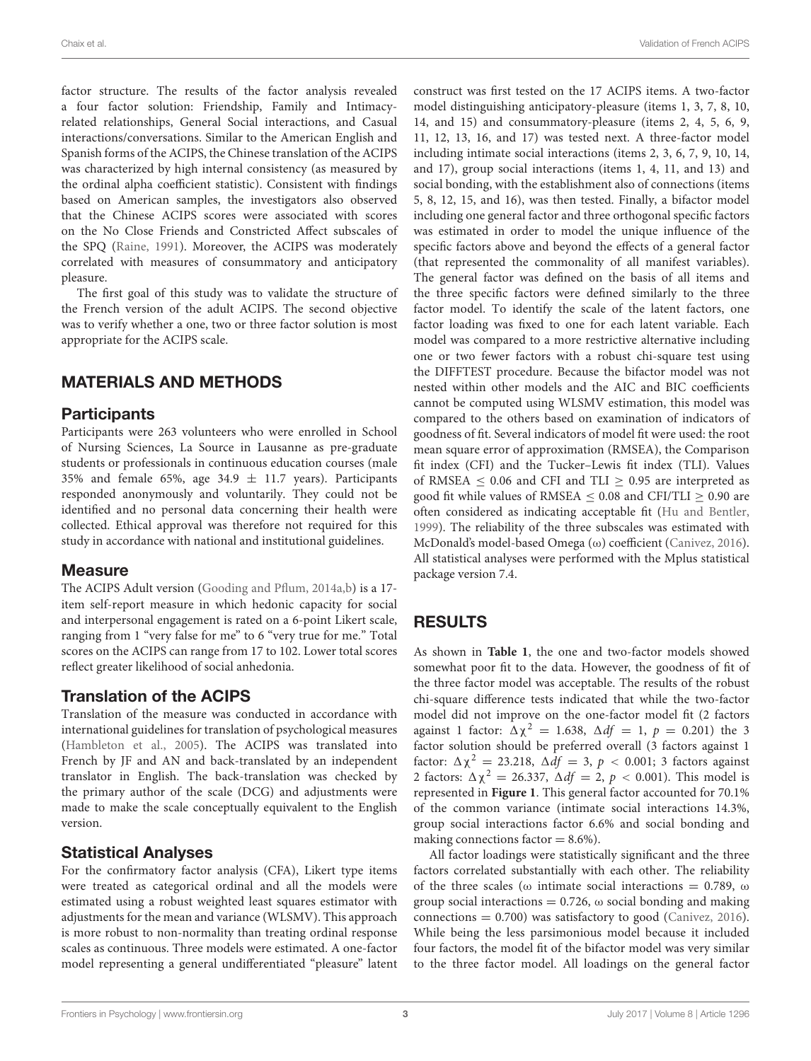factor structure. The results of the factor analysis revealed a four factor solution: Friendship, Family and Intimacyrelated relationships, General Social interactions, and Casual interactions/conversations. Similar to the American English and Spanish forms of the ACIPS, the Chinese translation of the ACIPS was characterized by high internal consistency (as measured by the ordinal alpha coefficient statistic). Consistent with findings based on American samples, the investigators also observed that the Chinese ACIPS scores were associated with scores on the No Close Friends and Constricted Affect subscales of the SPQ [\(Raine,](#page-5-10) [1991\)](#page-5-10). Moreover, the ACIPS was moderately correlated with measures of consummatory and anticipatory pleasure.

The first goal of this study was to validate the structure of the French version of the adult ACIPS. The second objective was to verify whether a one, two or three factor solution is most appropriate for the ACIPS scale.

# MATERIALS AND METHODS

## **Participants**

Participants were 263 volunteers who were enrolled in School of Nursing Sciences, La Source in Lausanne as pre-graduate students or professionals in continuous education courses (male 35% and female 65%, age 34.9  $\pm$  11.7 years). Participants responded anonymously and voluntarily. They could not be identified and no personal data concerning their health were collected. Ethical approval was therefore not required for this study in accordance with national and institutional guidelines.

### **Measure**

The ACIPS Adult version [\(Gooding and Pflum,](#page-5-7) [2014a](#page-5-7)[,b\)](#page-5-8) is a 17item self-report measure in which hedonic capacity for social and interpersonal engagement is rated on a 6-point Likert scale, ranging from 1 "very false for me" to 6 "very true for me." Total scores on the ACIPS can range from 17 to 102. Lower total scores reflect greater likelihood of social anhedonia.

# Translation of the ACIPS

Translation of the measure was conducted in accordance with international guidelines for translation of psychological measures [\(Hambleton et al.,](#page-5-19) [2005\)](#page-5-19). The ACIPS was translated into French by JF and AN and back-translated by an independent translator in English. The back-translation was checked by the primary author of the scale (DCG) and adjustments were made to make the scale conceptually equivalent to the English version.

# Statistical Analyses

For the confirmatory factor analysis (CFA), Likert type items were treated as categorical ordinal and all the models were estimated using a robust weighted least squares estimator with adjustments for the mean and variance (WLSMV). This approach is more robust to non-normality than treating ordinal response scales as continuous. Three models were estimated. A one-factor model representing a general undifferentiated "pleasure" latent

construct was first tested on the 17 ACIPS items. A two-factor model distinguishing anticipatory-pleasure (items 1, 3, 7, 8, 10, 14, and 15) and consummatory-pleasure (items 2, 4, 5, 6, 9, 11, 12, 13, 16, and 17) was tested next. A three-factor model including intimate social interactions (items 2, 3, 6, 7, 9, 10, 14, and 17), group social interactions (items 1, 4, 11, and 13) and social bonding, with the establishment also of connections (items 5, 8, 12, 15, and 16), was then tested. Finally, a bifactor model including one general factor and three orthogonal specific factors was estimated in order to model the unique influence of the specific factors above and beyond the effects of a general factor (that represented the commonality of all manifest variables). The general factor was defined on the basis of all items and the three specific factors were defined similarly to the three factor model. To identify the scale of the latent factors, one factor loading was fixed to one for each latent variable. Each model was compared to a more restrictive alternative including one or two fewer factors with a robust chi-square test using the DIFFTEST procedure. Because the bifactor model was not nested within other models and the AIC and BIC coefficients cannot be computed using WLSMV estimation, this model was compared to the others based on examination of indicators of goodness of fit. Several indicators of model fit were used: the root mean square error of approximation (RMSEA), the Comparison fit index (CFI) and the Tucker–Lewis fit index (TLI). Values of RMSEA  $\leq$  0.06 and CFI and TLI  $\geq$  0.95 are interpreted as good fit while values of RMSEA  $\leq$  0.08 and CFI/TLI  $\geq$  0.90 are often considered as indicating acceptable fit [\(Hu and Bentler,](#page-5-20) [1999\)](#page-5-20). The reliability of the three subscales was estimated with McDonald's model-based Omega (ω) coefficient [\(Canivez,](#page-5-21) [2016\)](#page-5-21). All statistical analyses were performed with the Mplus statistical package version 7.4.

# RESULTS

As shown in **[Table 1](#page-3-0)**, the one and two-factor models showed somewhat poor fit to the data. However, the goodness of fit of the three factor model was acceptable. The results of the robust chi-square difference tests indicated that while the two-factor model did not improve on the one-factor model fit (2 factors against 1 factor:  $\Delta \chi^2 = 1.638$ ,  $\Delta df = 1$ ,  $p = 0.201$ ) the 3 factor solution should be preferred overall (3 factors against 1 factor:  $\Delta \chi^2 = 23.218$ ,  $\Delta df = 3$ ,  $p < 0.001$ ; 3 factors against 2 factors:  $\Delta \chi^2 = 26.337$ ,  $\Delta df = 2$ ,  $p < 0.001$ ). This model is represented in **[Figure 1](#page-3-1)**. This general factor accounted for 70.1% of the common variance (intimate social interactions 14.3%, group social interactions factor 6.6% and social bonding and making connections factor  $= 8.6\%$ ).

All factor loadings were statistically significant and the three factors correlated substantially with each other. The reliability of the three scales ( $\omega$  intimate social interactions = 0.789,  $\omega$ group social interactions =  $0.726$ ,  $\omega$  social bonding and making connections  $= 0.700$ ) was satisfactory to good [\(Canivez,](#page-5-21) [2016\)](#page-5-21). While being the less parsimonious model because it included four factors, the model fit of the bifactor model was very similar to the three factor model. All loadings on the general factor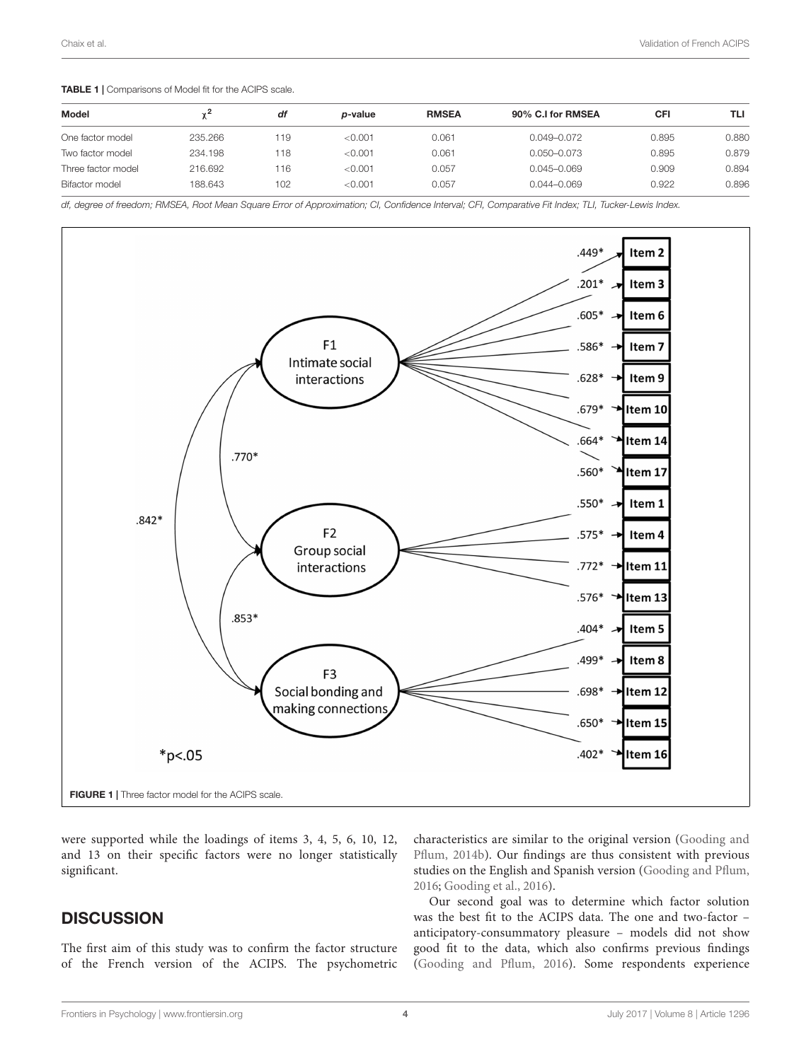<span id="page-3-0"></span>TABLE 1 | Comparisons of Model fit for the ACIPS scale.

|         | df  | <i>p</i> -value | <b>RMSEA</b> | 90% C.I for RMSEA | CFI   | TLI   |
|---------|-----|-----------------|--------------|-------------------|-------|-------|
| 235,266 | 119 | < 0.001         | 0.061        | 0.049-0.072       | 0.895 | 0.880 |
| 234.198 | 118 | < 0.001         | 0.061        | 0.050-0.073       | 0.895 | 0.879 |
| 216.692 | 116 | < 0.001         | 0.057        | $0.045 - 0.069$   | 0.909 | 0.894 |
| 188.643 | 102 | < 0.001         | 0.057        | $0.044 - 0.069$   | 0.922 | 0.896 |
|         |     |                 |              |                   |       |       |

df, degree of freedom; RMSEA, Root Mean Square Error of Approximation; CI, Confidence Interval; CFI, Comparative Fit Index; TLI, Tucker-Lewis Index.



<span id="page-3-1"></span>were supported while the loadings of items 3, 4, 5, 6, 10, 12, and 13 on their specific factors were no longer statistically significant.

# **DISCUSSION**

The first aim of this study was to confirm the factor structure of the French version of the ACIPS. The psychometric characteristics are similar to the original version [\(Gooding and](#page-5-8) [Pflum,](#page-5-8) [2014b\)](#page-5-8). Our findings are thus consistent with previous studies on the English and Spanish version [\(Gooding and Pflum,](#page-5-13) [2016;](#page-5-13) [Gooding et al.,](#page-5-16) [2016\)](#page-5-16).

Our second goal was to determine which factor solution was the best fit to the ACIPS data. The one and two-factor – anticipatory-consummatory pleasure – models did not show good fit to the data, which also confirms previous findings [\(Gooding and Pflum,](#page-5-13) [2016\)](#page-5-13). Some respondents experience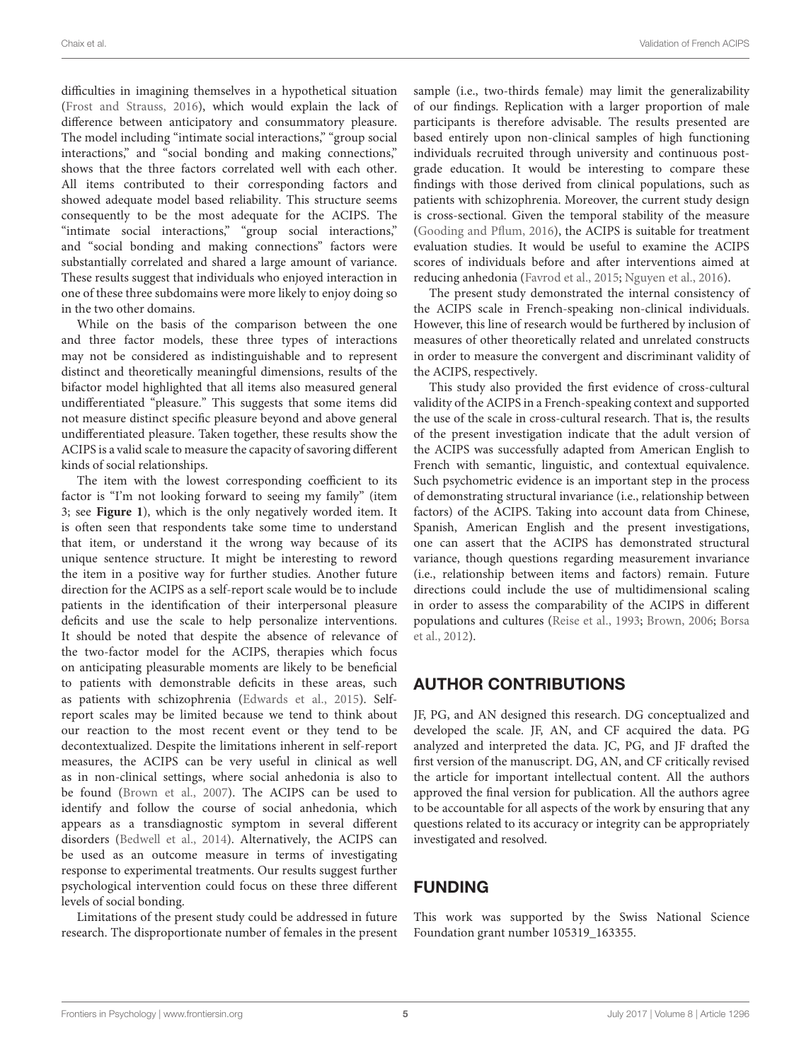difficulties in imagining themselves in a hypothetical situation [\(Frost and Strauss,](#page-5-15) [2016\)](#page-5-15), which would explain the lack of difference between anticipatory and consummatory pleasure. The model including "intimate social interactions," "group social interactions," and "social bonding and making connections," shows that the three factors correlated well with each other. All items contributed to their corresponding factors and showed adequate model based reliability. This structure seems consequently to be the most adequate for the ACIPS. The "intimate social interactions," "group social interactions," and "social bonding and making connections" factors were substantially correlated and shared a large amount of variance. These results suggest that individuals who enjoyed interaction in one of these three subdomains were more likely to enjoy doing so in the two other domains.

While on the basis of the comparison between the one and three factor models, these three types of interactions may not be considered as indistinguishable and to represent distinct and theoretically meaningful dimensions, results of the bifactor model highlighted that all items also measured general undifferentiated "pleasure." This suggests that some items did not measure distinct specific pleasure beyond and above general undifferentiated pleasure. Taken together, these results show the ACIPS is a valid scale to measure the capacity of savoring different kinds of social relationships.

The item with the lowest corresponding coefficient to its factor is "I'm not looking forward to seeing my family" (item 3; see **[Figure 1](#page-3-1)**), which is the only negatively worded item. It is often seen that respondents take some time to understand that item, or understand it the wrong way because of its unique sentence structure. It might be interesting to reword the item in a positive way for further studies. Another future direction for the ACIPS as a self-report scale would be to include patients in the identification of their interpersonal pleasure deficits and use the scale to help personalize interventions. It should be noted that despite the absence of relevance of the two-factor model for the ACIPS, therapies which focus on anticipating pleasurable moments are likely to be beneficial to patients with demonstrable deficits in these areas, such as patients with schizophrenia [\(Edwards et al.,](#page-5-22) [2015\)](#page-5-22). Selfreport scales may be limited because we tend to think about our reaction to the most recent event or they tend to be decontextualized. Despite the limitations inherent in self-report measures, the ACIPS can be very useful in clinical as well as in non-clinical settings, where social anhedonia is also to be found [\(Brown et al.,](#page-5-23) [2007\)](#page-5-23). The ACIPS can be used to identify and follow the course of social anhedonia, which appears as a transdiagnostic symptom in several different disorders [\(Bedwell et al.,](#page-5-24) [2014\)](#page-5-24). Alternatively, the ACIPS can be used as an outcome measure in terms of investigating response to experimental treatments. Our results suggest further psychological intervention could focus on these three different levels of social bonding.

Limitations of the present study could be addressed in future research. The disproportionate number of females in the present sample (i.e., two-thirds female) may limit the generalizability of our findings. Replication with a larger proportion of male participants is therefore advisable. The results presented are based entirely upon non-clinical samples of high functioning individuals recruited through university and continuous postgrade education. It would be interesting to compare these findings with those derived from clinical populations, such as patients with schizophrenia. Moreover, the current study design is cross-sectional. Given the temporal stability of the measure [\(Gooding and Pflum,](#page-5-13) [2016\)](#page-5-13), the ACIPS is suitable for treatment evaluation studies. It would be useful to examine the ACIPS scores of individuals before and after interventions aimed at reducing anhedonia [\(Favrod et al.,](#page-5-25) [2015;](#page-5-25) [Nguyen et al.,](#page-5-26) [2016\)](#page-5-26).

The present study demonstrated the internal consistency of the ACIPS scale in French-speaking non-clinical individuals. However, this line of research would be furthered by inclusion of measures of other theoretically related and unrelated constructs in order to measure the convergent and discriminant validity of the ACIPS, respectively.

This study also provided the first evidence of cross-cultural validity of the ACIPS in a French-speaking context and supported the use of the scale in cross-cultural research. That is, the results of the present investigation indicate that the adult version of the ACIPS was successfully adapted from American English to French with semantic, linguistic, and contextual equivalence. Such psychometric evidence is an important step in the process of demonstrating structural invariance (i.e., relationship between factors) of the ACIPS. Taking into account data from Chinese, Spanish, American English and the present investigations, one can assert that the ACIPS has demonstrated structural variance, though questions regarding measurement invariance (i.e., relationship between items and factors) remain. Future directions could include the use of multidimensional scaling in order to assess the comparability of the ACIPS in different populations and cultures [\(Reise et al.,](#page-5-27) [1993;](#page-5-27) [Brown,](#page-5-28) [2006;](#page-5-28) [Borsa](#page-5-29) [et al.,](#page-5-29) [2012\)](#page-5-29).

# AUTHOR CONTRIBUTIONS

JF, PG, and AN designed this research. DG conceptualized and developed the scale. JF, AN, and CF acquired the data. PG analyzed and interpreted the data. JC, PG, and JF drafted the first version of the manuscript. DG, AN, and CF critically revised the article for important intellectual content. All the authors approved the final version for publication. All the authors agree to be accountable for all aspects of the work by ensuring that any questions related to its accuracy or integrity can be appropriately investigated and resolved.

# FUNDING

This work was supported by the Swiss National Science Foundation grant number 105319\_163355.